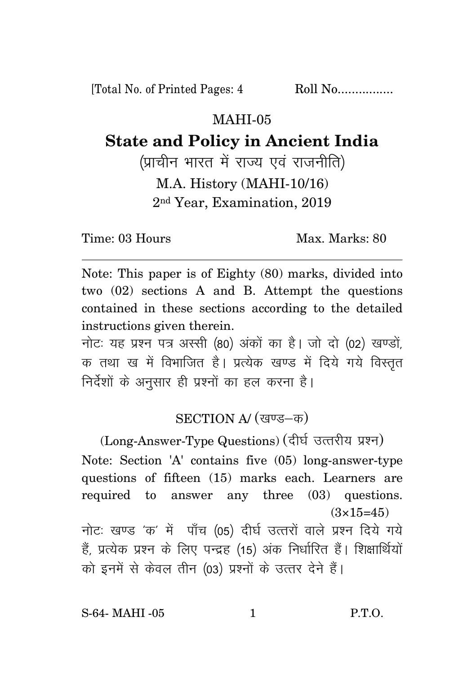[Total No. of Printed Pages: 4 Roll No................

## MAHI-05

## **State and Policy in Ancient India**

(प्राचीन भारत में राज्य एवं राजनीति) M.A. History (MAHI-10/16) 2nd Year, Examination, 2019

Time: 03 Hours Max. Marks: 80

Note: This paper is of Eighty (80) marks, divided into two (02) sections A and B. Attempt the questions contained in these sections according to the detailed instructions given therein.

नोट: यह प्रश्न पत्र अस्सी (80) अंकों का है। जो दो (02) खण्डों, क तथा ख में विभाजित है। प्रत्येक खण्ड में दिये गये विस्तृत निर्देशों के अनुसार ही प्रश्नों का हल करना है।

## SECTION A/ (खण्ड-क)

(Long-Answer-Type Questions) (दीर्घ उत्तरीय प्रश्न) Note: Section 'A' contains five (05) long-answer-type questions of fifteen (15) marks each. Learners are required to answer any three (03) questions.  $(3\times15=45)$ नोटः खण्ड 'क' में पाँच (05) दीर्घ उत्तरों वाले प्रश्न दिये गये

हैं, प्रत्येक प्रश्न के लिए पन्द्रह (15) अंक निर्धारित हैं। शिक्षार्थियों को इनमें से केवल तीन (03) प्रश्नों के उत्तर देने हैं।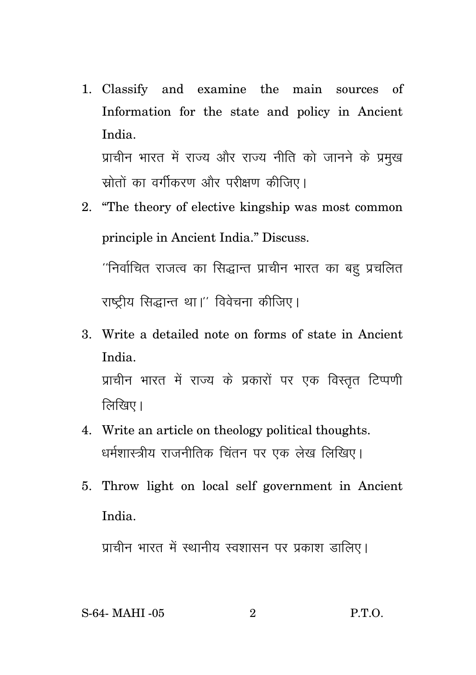1. Classify and examine the main sources of Information for the state and policy in Ancient India प्राचीन भारत में राज्य और राज्य नीति को जानने के प्रमुख

स्रोतों का वर्गीकरण और परीक्षण कीजिए।

- 2. "The theory of elective kingship was most common principle in Ancient India." Discuss. ''निर्वाचित राजत्व का सिद्धान्त प्राचीन भारत का बहू प्रचलित राष्ट्रीय सिद्धान्त था।'' विवेचना कीजिए।
- 3. Write a detailed note on forms of state in Ancient India. प्राचीन भारत में राज्य के प्रकारों पर एक विस्तृत टिप्पणी लिखिए।
- 4. Write an article on theology political thoughts. धर्मशास्त्रीय राजनीतिक चिंतन पर एक लेख लिखिए।
- 5. Throw light on local self government in Ancient India.

प्राचीन भारत में स्थानीय स्वशासन पर प्रकाश डालिए।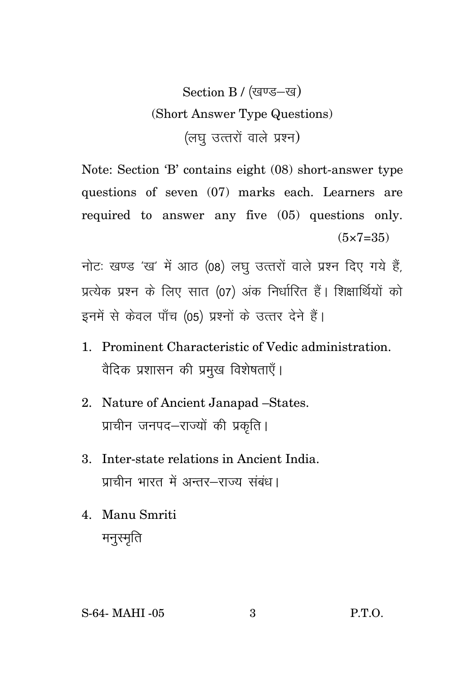## Section B / (खण्ड-ख) (Short Answer Type Questions) (लघु उत्तरों वाले प्रश्न)

Note: Section 'B' contains eight (08) short-answer type questions of seven (07) marks each. Learners are required to answer any five (05) questions only.  $(5 \times 7 = 35)$ 

नोटः खण्ड 'ख' में आठ (08) लघु उत्तरों वाले प्रश्न दिए गये हैं, प्रत्येक प्रश्न के लिए सात (07) अंक निर्धारित हैं। शिक्षार्थियों को इनमें से केवल पाँच (05) प्रश्नों के उत्तर देने हैं।

- 1. Prominent Characteristic of Vedic administration. वैदिक प्रशासन की प्रमुख विशेषताएँ।
- 2. Nature of Ancient Janapad -States. प्राचीन जनपद-राज्यों की प्रकृति।
- 3. Inter-state relations in Ancient India. प्राचीन भारत में अन्तर-राज्य संबंध।
- 4. Manu Smriti मनुस्मृति